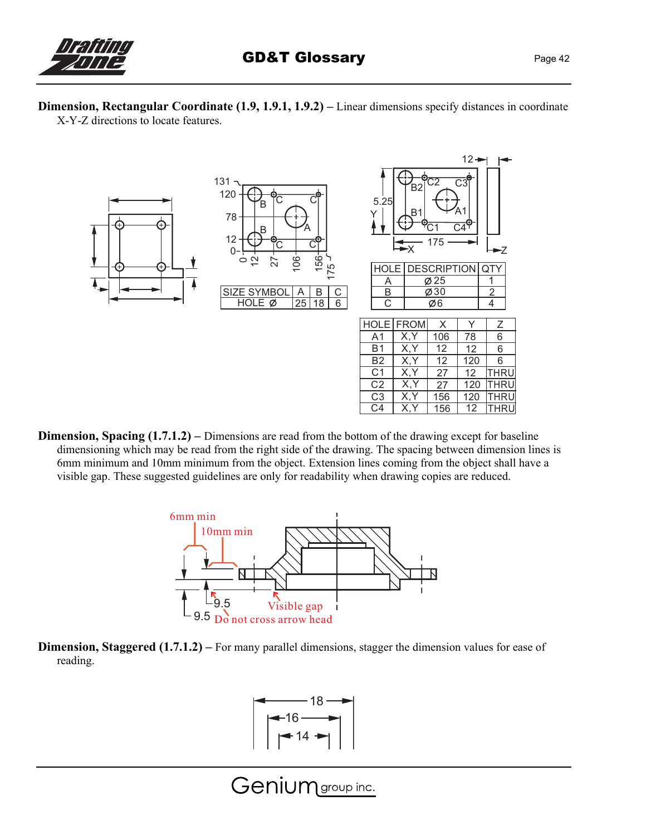

**Dimension, Rectangular Coordinate (1.9, 1.9.1, 1.9.2)** – Linear dimensions specify distances in coordinate X-Y-Z directions to locate features.



**Dimension, Spacing (1.7.1.2)** – Dimensions are read from the bottom of the drawing except for baseline dimensioning which may be read from the right side of the drawing. The spacing between dimension lines is 6mm minimum and 10mm minimum from the object. Extension lines coming from the object shall have a visible gap. These suggested guidelines are only for readability when drawing copies are reduced.



**Dimension, Staggered (1.7.1.2)** – For many parallel dimensions, stagger the dimension values for ease of reading.